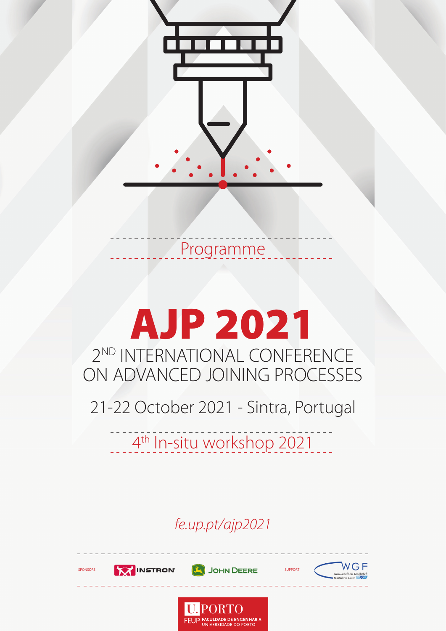

## Programme

## AJP 2021 2<sup>ND</sup> INTERNATIONAL CONFERENCE ON ADVANCED JOINING PROCESSES

21-22 October 2021 - Sintra, Portugal

4<sup>th</sup> In-situ workshop 2021

*fe.up.pt/ajp2021*

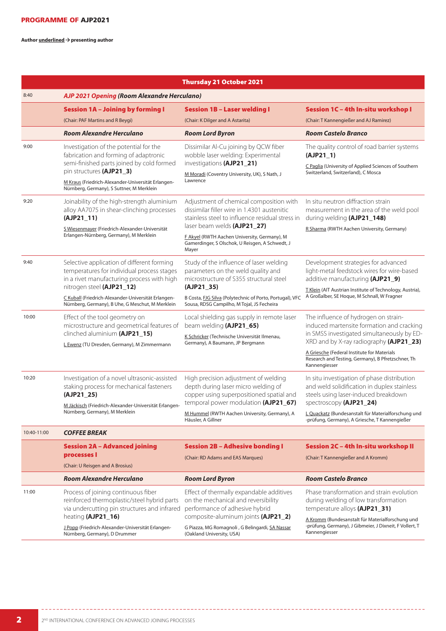Author **underlined**  $\rightarrow$  presenting author

|             |                                                                                                                                                          | Thursday 21 October 2021                                                                                                                                  |                                                                                                                                                                            |
|-------------|----------------------------------------------------------------------------------------------------------------------------------------------------------|-----------------------------------------------------------------------------------------------------------------------------------------------------------|----------------------------------------------------------------------------------------------------------------------------------------------------------------------------|
| 8:40        | AJP 2021 Opening (Room Alexandre Herculano)                                                                                                              |                                                                                                                                                           |                                                                                                                                                                            |
|             | <b>Session 1A - Joining by forming I</b>                                                                                                                 | <b>Session 1B - Laser welding I</b>                                                                                                                       | Session 1C - 4th In-situ workshop I                                                                                                                                        |
|             | (Chair: PAF Martins and R Beygi)                                                                                                                         | (Chair: K Dilger and A Astarita)                                                                                                                          | (Chair: T Kannengießer and AJ Ramirez)                                                                                                                                     |
|             | <b>Room Alexandre Herculano</b>                                                                                                                          | <b>Room Lord Byron</b>                                                                                                                                    | <b>Room Castelo Branco</b>                                                                                                                                                 |
| 9:00        | Investigation of the potential for the<br>fabrication and forming of adaptronic<br>semi-finished parts joined by cold formed<br>pin structures (AJP21_3) | Dissimilar Al-Cu joining by QCW fiber<br>wobble laser welding: Experimental<br>investigations (AJP21_21)<br>M Moradi (Coventry University, UK), S Nath, J | The quality control of road barrier systems<br>$(AJP21_1)$                                                                                                                 |
|             |                                                                                                                                                          |                                                                                                                                                           | C Paglia (University of Applied Sciences of Southern<br>Switzerland, Switzerland), C Mosca                                                                                 |
|             | M Kraus (Friedrich-Alexander-Universität Erlangen-<br>Nürnberg, Germany), S Suttner, M Merklein                                                          | Lawrence                                                                                                                                                  |                                                                                                                                                                            |
| 9:20        | Joinability of the high-strength aluminium<br>alloy AA7075 in shear-clinching processes<br>$(AJP21_11)$                                                  | Adjustment of chemical composition with<br>dissimilar filler wire in 1.4301 austenitic<br>stainless steel to influence residual stress in                 | In situ neutron diffraction strain<br>measurement in the area of the weld pool<br>during welding (AJP21_148)                                                               |
|             | S Wiesenmayer (Friedrich-Alexander-Universität                                                                                                           | laser beam welds (AJP21_27)                                                                                                                               | R Sharma (RWTH Aachen University, Germany)                                                                                                                                 |
|             | Erlangen-Nürnberg, Germany), M Merklein                                                                                                                  | F Akyel (RWTH Aachen University, Germany), M<br>Gamerdinger, S Olschok, U Reisgen, A Schwedt, J<br>Mayer                                                  |                                                                                                                                                                            |
| 9:40        | Selective application of different forming                                                                                                               | Study of the influence of laser welding<br>parameters on the weld quality and                                                                             | Development strategies for advanced<br>light-metal feedstock wires for wire-based                                                                                          |
|             | temperatures for individual process stages<br>in a rivet manufacturing process with high<br>nitrogen steel (AJP21_12)                                    | microstructure of S355 structural steel<br>$(AJP21_35)$                                                                                                   | additive manufacturing (AJP21_9)                                                                                                                                           |
|             | C Kuball (Friedrich-Alexander-Universität Erlangen-<br>Nürnberg, Germany), B Uhe, G Meschut, M Merklein                                                  | B Costa, FJG Silva (Polytechnic of Porto, Portugal), VFC<br>Sousa, RDSG Campilho, M Tojal, JS Fecheira                                                    | T Klein (AIT Austrian Institute of Technology, Austria),<br>A Großalber, SE Hoque, M Schnall, W Fragner                                                                    |
| 10:00       | Effect of the tool geometry on<br>microstructure and geometrical features of<br>clinched aluminium (AJP21_15)                                            | Local shielding gas supply in remote laser<br>beam welding (AJP21_65)                                                                                     | The influence of hydrogen on strain-<br>induced martensite formation and cracking<br>in SMSS investigated simultaneously by ED-<br>XRD and by X-ray radiography (AJP21_23) |
|             |                                                                                                                                                          | K Schricker (Technische Universität Ilmenau,                                                                                                              |                                                                                                                                                                            |
|             | L Ewenz (TU Dresden, Germany), M Zimmermann                                                                                                              | Germany), A Baumann, JP Bergmann                                                                                                                          | A Griesche (Federal Institute for Materials                                                                                                                                |
|             |                                                                                                                                                          |                                                                                                                                                           | Research and Testing, Germany), B Pfretzschner, Th<br>Kannengiesser                                                                                                        |
| 10:20       | Investigation of a novel ultrasonic-assisted<br>staking process for mechanical fasteners                                                                 | High precision adjustment of welding<br>depth during laser micro welding of                                                                               | In situ investigation of phase distribution<br>and weld solidification in duplex stainless                                                                                 |
|             | $(AJP21_25)$<br>M Jäckisch (Friedrich-Alexander-Universität Erlangen-<br>Nürnberg, Germany), M Merklein                                                  | copper using superpositioned spatial and<br>temporal power modulation (AJP21_67)                                                                          | steels using laser-induced breakdown<br>spectroscopy (AJP21_24)                                                                                                            |
|             |                                                                                                                                                          | M Hummel (RWTH Aachen University, Germany), A<br>Häusler, A Gillner                                                                                       | L Quackatz (Bundesanstalt für Materialforschung und<br>-prüfung, Germany), A Griesche, T Kannengießer                                                                      |
| 10:40-11:00 | <b>COFFEE BREAK</b>                                                                                                                                      |                                                                                                                                                           |                                                                                                                                                                            |
|             | Session 2A – Advanced joining<br>processes l                                                                                                             | <b>Session 2B - Adhesive bonding I</b>                                                                                                                    | Session 2C - 4th In-situ workshop II                                                                                                                                       |
|             |                                                                                                                                                          | (Chair: RD Adams and EAS Marques)                                                                                                                         | (Chair: T Kannengießer and A Kromm)                                                                                                                                        |
|             | (Chair: U Reisgen and A Brosius)<br><b>Room Alexandre Herculano</b>                                                                                      |                                                                                                                                                           |                                                                                                                                                                            |
|             |                                                                                                                                                          | <b>Room Lord Byron</b>                                                                                                                                    | <b>Room Castelo Branco</b>                                                                                                                                                 |
| 11:00       | Process of joining continuous fiber<br>reinforced thermoplastic/steel hybrid parts<br>via undercutting pin structures and infrared                       | Effect of thermally expandable additives<br>on the mechanical and reversibility<br>performance of adhesive hybrid                                         | Phase transformation and strain evolution<br>during welding of low transformation<br>temperature alloys (AJP21_31)                                                         |
|             | heating (AJP21_16)<br>J Popp (Friedrich-Alexander-Universität Erlangen-<br>Nürnberg, Germany), D Drummer                                                 | composite-aluminum joints (AJP21_2)<br>G Piazza, MG Romagnoli, G Belingardi, SA Nassar<br>(Oakland University, USA)                                       | A Kromm (Bundesanstalt für Materialforschung und<br>-prüfung, Germany), J Gibmeier, J Dixneit, F Vollert, T<br>Kannengiesser                                               |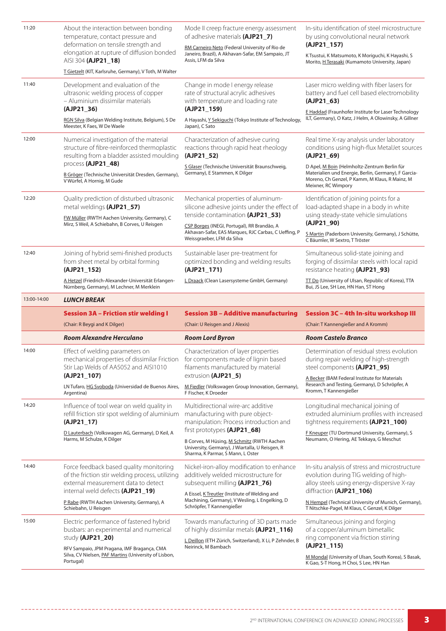| 11:20       | About the interaction between bonding<br>temperature, contact pressure and<br>deformation on tensile strength and<br>elongation at rupture of diffusion bonded<br>AISI 304 (AJP21_18)                         | Mode II creep fracture energy assessment<br>of adhesive materials (AJP21_7)<br>RM Carneiro Neto (Federal University of Rio de<br>Janeiro, Brazil), A Akhavan-Safar, EM Sampaio, JT<br>Assis, LFM da Silva | In-situ identification of steel microstructure<br>by using convolutional neural network<br>$(AJP21_157)$<br>K Tsustui, K Matsumoto, K Moriguchi, K Hayashi, S<br>Morito, <i>H</i> Terasaki (Kumamoto University, Japan) |
|-------------|---------------------------------------------------------------------------------------------------------------------------------------------------------------------------------------------------------------|-----------------------------------------------------------------------------------------------------------------------------------------------------------------------------------------------------------|-------------------------------------------------------------------------------------------------------------------------------------------------------------------------------------------------------------------------|
|             | T Gietzelt (KIT, Karlsruhe, Germany), V Toth, M Walter                                                                                                                                                        |                                                                                                                                                                                                           |                                                                                                                                                                                                                         |
| 11:40       | Development and evaluation of the<br>ultrasonic welding process of copper<br>- Aluminium dissimilar materials                                                                                                 | Change in mode I energy release<br>rate of structural acrylic adhesives<br>with temperature and loading rate                                                                                              | Laser micro welding with fiber lasers for<br>battery and fuel cell based electromobility<br>$(AJP21_63)$                                                                                                                |
|             | $(AJP21_36)$<br>RGN Silva (Belgian Welding Institute, Belgium), S De<br>Meester, K Faes, W De Waele                                                                                                           | (AJP21_159)<br>A Hayashi, Y Sekiguchi (Tokyo Institute of Technology,<br>Japan), C Sato                                                                                                                   | E Haddad (Fraunhofer Institute for Laser Technology<br>ILT, Germany), O Katz, J Helm, A Olowinsky, A Gillner                                                                                                            |
| 12:00       | Numerical investigation of the material<br>structure of fibre-reinforced thermoplastic<br>resulting from a bladder assisted moulding<br>process (AJP21_48)                                                    | Characterization of adhesive curing<br>reactions through rapid heat rheology<br>$(AJP21_52)$                                                                                                              | Real time X-ray analysis under laboratory<br>conditions using high-flux MetalJet sources<br>$(AJP21_69)$                                                                                                                |
|             | B Gröger (Technische Universität Dresden, Germany),<br>V Würfel, A Hornig, M Gude                                                                                                                             | S Glaser (Technische Universität Braunschweig,<br>Germany), E Stammen, K Dilger                                                                                                                           | D Apel, M Boin (Helmholtz-Zentrum Berlin für<br>Materialien und Energie, Berlin, Germany), F Garcia-<br>Moreno, Ch Genzel, P Kamm, M Klaus, R Mainz, M<br>Meixner, RC Wimpory                                           |
| 12:20       | Quality prediction of disturbed ultrasonic<br>metal weldings (AJP21_57)                                                                                                                                       | Mechanical properties of aluminum-<br>silicone adhesive joints under the effect of                                                                                                                        | Identification of joining points for a<br>load-adapted shape in a body in white                                                                                                                                         |
|             | FW Müller (RWTH Aachen University, Germany), C<br>Mirz, S Weil, A Schiebahn, B Corves, U Reisgen                                                                                                              | tenside contamination (AJP21_53)<br>CSP Borges (INEGI, Portugal), RR Brandão, A<br>Akhavan-Safar, EAS Marques, RJC Carbas, C Ueffing, P<br>Weissgraeber, LFM da Silva                                     | using steady-state vehicle simulations<br>(AJP21_90)                                                                                                                                                                    |
|             |                                                                                                                                                                                                               |                                                                                                                                                                                                           | S Martin (Paderborn University, Germany), J Schütte,<br>C Bäumler, W Sextro, T Tröster                                                                                                                                  |
| 12:40       | Joining of hybrid semi-finished products<br>from sheet metal by orbital forming<br>(AJP21_152)                                                                                                                | Sustainable laser pre-treatment for<br>optimized bonding and welding results<br>$(AJP21_171)$                                                                                                             | Simultaneous solid-state joining and<br>forging of dissimilar steels with local rapid<br>resistance heating (AJP21_93)                                                                                                  |
|             | <u>A Hetzel</u> (Friedrich-Alexander-Universität Erlangen-<br>Nürnberg, Germany), M Lechner, M Merklein                                                                                                       | L Draack (Clean Lasersysteme GmbH, Germany)                                                                                                                                                               | <b>TT Do</b> (University of Ulsan, Republic of Korea), TTA<br>Bui, JS Lee, SH Lee, HN Han, ST Hong                                                                                                                      |
|             |                                                                                                                                                                                                               |                                                                                                                                                                                                           |                                                                                                                                                                                                                         |
| 13:00-14:00 | <b>LUNCH BREAK</b>                                                                                                                                                                                            |                                                                                                                                                                                                           |                                                                                                                                                                                                                         |
|             | <b>Session 3A - Friction stir welding I</b>                                                                                                                                                                   | <b>Session 3B - Additive manufacturing</b>                                                                                                                                                                | Session 3C - 4th In-situ workshop III                                                                                                                                                                                   |
|             | (Chair: R Beygi and K Dilger)                                                                                                                                                                                 | (Chair: U Reisgen and J Alexis)                                                                                                                                                                           | (Chair: T Kannengießer and A Kromm)                                                                                                                                                                                     |
|             | <b>Room Alexandre Herculano</b>                                                                                                                                                                               | <b>Room Lord Byron</b>                                                                                                                                                                                    | <b>Room Castelo Branco</b>                                                                                                                                                                                              |
| 14:00       | Effect of welding parameters on<br>mechanical properties of dissimilar Friction<br>Stir Lap Welds of AA5052 and AISI1010<br>(AJP21_107)                                                                       | Characterization of layer properties<br>for components made of lignin based<br>filaments manufactured by material<br>extrusion (AJP21_5)                                                                  | Determination of residual stress evolution<br>during repair welding of high-strength<br>steel components (AJP21 95)                                                                                                     |
|             | LN Tufaro, HG Svoboda (Universidad de Buenos Aires,<br>Argentina)                                                                                                                                             | M Fiedler (Volkswagen Group Innovation, Germany),<br>F Fischer, K Droeder                                                                                                                                 | A Becker (BAM Federal Institute for Materials<br>Research and Testing, Germany), D Schröpfer, A<br>Kromm, T Kannengießer                                                                                                |
| 14:20       | Influence of tool wear on weld quality in<br>refill friction stir spot welding of aluminium<br>$(AJP21_17)$                                                                                                   | Multidirectional wire-arc additive<br>manufacturing with pure object-<br>manipulation: Process introduction and                                                                                           | Longitudinal mechanical joining of<br>extruded aluminium profiles with increased<br>tightness requirements (AJP21_100)                                                                                                  |
|             | D Lauterbach (Volkswagen AG, Germany), D Keil, A<br>Harms, M Schulze, K Dilger                                                                                                                                | first prototypes (AJP21_68)                                                                                                                                                                               | F Kneuper (TU Dortmund University, Germany), S<br>Neumann, O Hering, AE Tekkaya, G Meschut                                                                                                                              |
|             |                                                                                                                                                                                                               | B Corves, M Hüsing, M Schmitz (RWTH Aachen<br>University, Germany), J Wiartalla, U Reisgen, R<br>Sharma, K Parmar, S Mann, L Oster                                                                        |                                                                                                                                                                                                                         |
| 14:40       | Force feedback based quality monitoring<br>of the friction stir welding process, utilizing<br>external measurement data to detect<br>internal weld defects (AJP21_19)                                         | Nickel-iron-alloy modification to enhance<br>additively welded microstructure for<br>subsequent milling (AJP21_76)                                                                                        | In-situ analysis of stress and microstructure<br>evolution during TIG welding of high-<br>alloy steels using energy-dispersive X-ray<br>diffraction (AJP21_106)                                                         |
|             | P Rabe (RWTH Aachen University, Germany), A<br>Schiebahn, U Reisgen                                                                                                                                           | A Eissel, KTreutler (Institute of Welding and<br>Machining, Germany), V Wesling, L Engelking, D<br>Schröpfer, T Kannengießer                                                                              | N Hempel (Technical University of Munich, Germany),<br>T Nitschke-Pagel, M Klaus, C Genzel, K Dilger                                                                                                                    |
| 15:00       | Electric performance of fastened hybrid<br>busbars: an experimental and numerical<br>study (AJP21_20)<br>RFV Sampaio, JPM Pragana, IMF Bragança, CMA<br>Silva, CV Nielsen, PAF Martins (University of Lisbon, | Towards manufacturing of 3D parts made<br>of highly dissimilar metals (AJP21_116)<br>L Deillon (ETH Zürich, Switzerland), X Li, P Zehnder, B<br>Neirinck, M Bambach                                       | Simultaneous joining and forging<br>of a copper/aluminum bimetallic<br>ring component via friction stirring<br>$(AJP21_115)$                                                                                            |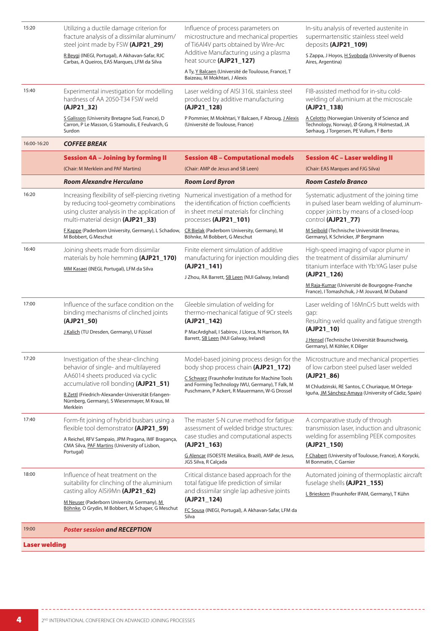| 15:20       | Utilizing a ductile damage criterion for<br>fracture analysis of a dissimilar aluminum/<br>steel joint made by FSW (AJP21_29)                                                                | Influence of process parameters on<br>microstructure and mechanical properties<br>of Ti6Al4V parts obtained by Wire-Arc                                   | In-situ analysis of reverted austenite in<br>supermartensitic stainless steel weld<br>deposits (AJP21_109)                                              |
|-------------|----------------------------------------------------------------------------------------------------------------------------------------------------------------------------------------------|-----------------------------------------------------------------------------------------------------------------------------------------------------------|---------------------------------------------------------------------------------------------------------------------------------------------------------|
|             | R Beygi (INEGI, Portugal), A Akhavan-Safar, RJC<br>Carbas, A Queiros, EAS Marques, LFM da Silva                                                                                              | Additive Manufacturing using a plasma<br>heat source (AJP21_127)                                                                                          | S Zappa, J Hoyos, H Svoboda (University of Buenos<br>Aires, Argentina)                                                                                  |
|             |                                                                                                                                                                                              | A Ty, Y Balcaen (Université de Toulouse, France), T<br>Baizeau, M Mokhtari, J Alexis                                                                      |                                                                                                                                                         |
| 15:40       | Experimental investigation for modelling<br>hardness of AA 2050-T34 FSW weld<br>(AJP21_32)                                                                                                   | Laser welding of AISI 316L stainless steel<br>produced by additive manufacturing<br>(AJP21_128)                                                           | FIB-assisted method for in-situ cold-<br>welding of aluminium at the microscale<br>(AJP21_138)                                                          |
|             | S Galisson (University Bretagne Sud, France), D<br>Carron, P Le Masson, G Stamoulis, E Feulvarch, G<br>Surdon                                                                                | P Pommier, M Mokhtari, Y Balcaen, F Abroug, J Alexis<br>(Université de Toulouse, France)                                                                  | A Celotto (Norwegian University of Science and<br>Technology, Norway), Ø Grong, R Holmestad, JA<br>Sørhaug, J Torgersen, PE Vullum, F Berto             |
| 16:00-16:20 | <b>COFFEE BREAK</b>                                                                                                                                                                          |                                                                                                                                                           |                                                                                                                                                         |
|             | <b>Session 4A - Joining by forming II</b>                                                                                                                                                    | <b>Session 4B - Computational models</b>                                                                                                                  | <b>Session 4C - Laser welding II</b>                                                                                                                    |
|             | (Chair: M Merklein and PAF Martins)                                                                                                                                                          | (Chair: AMP de Jesus and SB Leen)                                                                                                                         | (Chair: EAS Marques and FJG Silva)                                                                                                                      |
|             | Room Alexandre Herculano                                                                                                                                                                     | <b>Room Lord Byron</b>                                                                                                                                    | <b>Room Castelo Branco</b>                                                                                                                              |
| 16:20       | Increasing flexibility of self-piercing riveting<br>by reducing tool-geometry combinations<br>using cluster analysis in the application of<br>multi-material design (AJP21_33)               | Numerical investigation of a method for<br>the identification of friction coefficients<br>in sheet metal materials for clinching<br>processes (AJP21_101) | Systematic adjustment of the joining time<br>in pulsed laser beam welding of aluminum-<br>copper joints by means of a closed-loop<br>control (AJP21_77) |
|             | F Kappe (Paderborn University, Germany), L Schadow,<br>M Bobbert, G Meschut                                                                                                                  | CR Bielak (Paderborn University, Germany), M<br>Böhnke, M Bobbert, G Meschut                                                                              | M Seibold (Technische Universität Ilmenau,<br>Germany), K Schricker, JP Bergmann                                                                        |
| 16:40       | Joining sheets made from dissimilar<br>materials by hole hemming (AJP21_170)<br>MM Kasaei (INEGI, Portugal), LFM da Silva                                                                    | Finite element simulation of additive<br>manufacturing for injection moulding dies<br>(AJP21_141)<br>J Zhou, RA Barrett, SB Leen (NUI Galway, Ireland)    | High-speed imaging of vapor plume in<br>the treatment of dissimilar aluminum/<br>titanium interface with Yb:YAG laser pulse<br>$(AJP21_126)$            |
|             |                                                                                                                                                                                              |                                                                                                                                                           | M Raja-Kumar (Université de Bourgogne-Franche<br>France), I Tomashchuk, J-M Jouvard, M Duband                                                           |
| 17:00       | Influence of the surface condition on the<br>binding mechanisms of clinched joints<br>(AJP21_50)                                                                                             | Gleeble simulation of welding for<br>thermo-mechanical fatigue of 9Cr steels<br>(AJP21_142)                                                               | Laser welding of 16MnCr5 butt welds with<br>qap:<br>Resulting weld quality and fatigue strength<br>$(AJP21_10)$                                         |
|             | J Kalich (TU Dresden, Germany), U Füssel                                                                                                                                                     | P MacArdghail, I Sabirov, J Llorca, N Harrison, RA<br>Barrett, SB Leen (NUI Galway, Ireland)                                                              | J Hensel (Technische Universität Braunschweig,<br>Germany), M Köhler, K Dilger                                                                          |
| 17:20       | Investigation of the shear-clinching<br>behavior of single- and multilayered                                                                                                                 | Model-based joining process design for the<br>body shop process chain (AJP21 172)                                                                         | Microstructure and mechanical properties<br>of low carbon steel pulsed laser welded                                                                     |
|             | AA6014 sheets produced via cyclic<br>accumulative roll bonding (AJP21_51)<br>B Zettl (Friedrich-Alexander-Universität Erlangen-<br>Nürnberg, Germany), S Wiesenmayer, M Kraus, M<br>Merklein | C Schwarz (Fraunhofer Institute for Machine Tools<br>and Forming Technology IWU, Germany), T Falk, M<br>Puschmann, P Ackert, R Mauermann, W-G Drossel     | $(AJP21_86)$<br>M Chludzinski, RE Santos, C Churiaque, M Ortega-<br>Iguña, JM Sánchez-Amaya (University of Cádiz, Spain)                                |
| 17:40       | Form-fit joining of hybrid busbars using a<br>flexible tool demonstrator (AJP21_59)                                                                                                          | The master S-N curve method for fatigue<br>assessment of welded bridge structures:                                                                        | A comparative study of through<br>transmission laser, induction and ultrasonic                                                                          |
|             | A Reichel, RFV Sampaio, JPM Pragana, IMF Bragança,<br>CMA Silva, PAF Martins (University of Lisbon,<br>Portugal)                                                                             | case studies and computational aspects<br>$(AJP21_163)$                                                                                                   | welding for assembling PEEK composites<br>$(AJP21_150)$                                                                                                 |
|             |                                                                                                                                                                                              | G Alencar (ISOESTE Metálica, Brazil), AMP de Jesus,<br>JGS Silva, R Calçada                                                                               | F Chabert (University of Toulouse, France), A Korycki,<br>M Bonmatin, C Garnier                                                                         |
| 18:00       | Influence of heat treatment on the<br>suitability for clinching of the aluminium<br>casting alloy AlSi9Mn (AJP21_62)                                                                         | Critical distance based approach for the<br>total fatigue life prediction of similar<br>and dissimilar single lap adhesive joints                         | Automated joining of thermoplastic aircraft<br>fuselage shells (AJP21_155)<br>L Brieskorn (Fraunhofer IFAM, Germany), T Kühn                            |
|             | M Neuser (Paderborn University, Germany), M                                                                                                                                                  | $(AJP21_124)$                                                                                                                                             |                                                                                                                                                         |
|             | Böhnke, O Grydin, M Bobbert, M Schaper, G Meschut                                                                                                                                            | FC Sousa (INEGI, Portugal), A Akhavan-Safar, LFM da<br>Silva                                                                                              |                                                                                                                                                         |
| 19:00       | <b>Poster session and RECEPTION</b>                                                                                                                                                          |                                                                                                                                                           |                                                                                                                                                         |
| raldino     |                                                                                                                                                                                              |                                                                                                                                                           |                                                                                                                                                         |

 $- - - -$ 

 $\sim$   $\sim$   $\sim$   $\sim$ 

 $- - -$ 

------------------------------------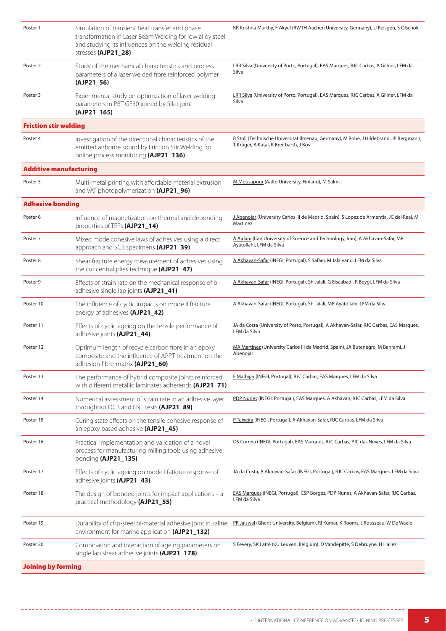| Poster 1                      | Simulation of transient heat transfer and phase<br>transformation in Laser Beam Welding for low alloy steel<br>and studying its influences on the welding residual<br>stresses (AJP21_28) | KR Krishna Murthy, F Akyel (RWTH Aachen University, Germany), U Reisgen, S Olschok                                              |
|-------------------------------|-------------------------------------------------------------------------------------------------------------------------------------------------------------------------------------------|---------------------------------------------------------------------------------------------------------------------------------|
| Poster 2                      | Study of the mechanical characteristics and process<br>parameters of a laser welded fibre reinforced polymer<br>$(AJP21_56)$                                                              | LRR Silva (University of Porto, Portugal), EAS Marques, RJC Carbas, A Gillner, LFM da<br>Silva                                  |
| Poster 3                      | Experimental study on optimization of laser welding<br>parameters in PBT GF30 joined by fillet joint<br>(AJP21_165)                                                                       | LRR Silva (University of Porto, Portugal), EAS Marques, RJC Carbas, A Gillner, LFM da<br>Silva                                  |
| <b>Friction stir welding</b>  |                                                                                                                                                                                           |                                                                                                                                 |
| Poster 4                      | Investigation of the directional characteristics of the<br>emitted airborne sound by Friction Stir Welding for<br>online process monitoring (AJP21_136)                                   | B Stoll (Technische Universität Ilmenau, Germany), M Rohe, J Hildebrand, JP Bergmann,<br>T Krüger, A Kátai, K Breitbarth, J Bös |
| <b>Additive manufacturing</b> |                                                                                                                                                                                           |                                                                                                                                 |
| Poster 5                      | Multi-metal printing with affordable material extrusion<br>and VAT photopolymerization (AJP21_96)                                                                                         | M Mousapour (Aalto University, Finland), M Salmi                                                                                |
| <b>Adhesive bonding</b>       |                                                                                                                                                                                           |                                                                                                                                 |
| Poster 6                      | Influence of magnetization on thermal and debonding<br>properties of TEPs (AJP21_14)                                                                                                      | J Abenojar (University Carlos III de Madrid, Spain), S Lopez de Armentia, JC del Real, M<br>Martinez                            |
| Poster 7                      | Mixed mode cohesive laws of adhesives using a direct<br>approach and SCB specimens (AJP21_39)                                                                                             | A Ajdani (Iran University of Science and Technology, Iran), A Akhavan-Safar, MR<br>Ayatollahi, LFM da Silva                     |
| Poster 8                      | Shear fracture energy measurement of adhesives using<br>the cut central plies technique (AJP21_47)                                                                                        | <u>A Akhavan-Safar</u> (INEGI, Portugal), S Safaei, M Jalalvand, LFM da Silva                                                   |
| Poster 9                      | Effects of strain rate on the mechanical response of bi-<br>adhesive single lap joints (AJP21_41)                                                                                         | A Akhavan-Safar (INEGI, Portugal), Sh Jalali, G Eisaabadi, R Beygi, LFM da Silva                                                |
| Poster 10                     | The influence of cyclic impacts on mode II fracture<br>energy of adhesives (AJP21_42)                                                                                                     | A Akhavan-Safar (INEGI, Portugal), Sh Jalali, MR Ayatollahi, LFM da Silva                                                       |
| Poster 11                     | Effects of cyclic ageing on the tensile performance of<br>adhesive joints (AJP21_44)                                                                                                      | JA da Costa (University of Porto, Portugal), A Akhavan-Safar, RJC Carbas, EAS Marques,<br>LFM da Silva                          |
| Poster 12                     | Optimum length of recycle carbon fibre in an epoxy<br>composite and the influence of APPT treatment on the<br>adhesion fibre-matrix (AJP21_60)                                            | MA Martinez (University Carlos III de Madrid, Spain), JA Butenegro, M Bahrami, J<br>Abenojar                                    |
| Poster 13                     | The performance of hybrid composite joints reinforced<br>with different metallic laminates adherends (AJP21_71)                                                                           | <b>F Malbijar (INEGI, Portugal), RJC Carbas, EAS Marques, LFM da Silva</b>                                                      |
| Poster 14                     | Numerical assessment of strain rate in an adhesive layer<br>throughout DCB and ENF tests (AJP21_89)                                                                                       | PDP Nunes (INEGI, Portugal), EAS Marques, A Akhavan, RJC Carbas, LFM da Silva                                                   |
| Poster 15                     | Curing state effects on the tensile cohesive response of<br>an epoxy based adhesive (AJP21_45)                                                                                            | P Teixeira (INEGI, Portugal), A Akhavan-Safar, RJC Carbas, LFM da Silva                                                         |
| Poster 16                     | Practical implementation and validation of a novel<br>process for manufacturing milling tools using adhesive<br>bonding (AJP21_135)                                                       | DS Correia (INEGI, Portugal), EAS Marques, RJC Carbas, PJC das Neves, LFM da Silva                                              |
| Poster 17                     | Effects of cyclic ageing on mode I fatigue response of<br>adhesive joints (AJP21_43)                                                                                                      | JA da Costa, A Akhavan-Safar (INEGI, Portugal), RJC Carbas, EAS Marques, LFM da Silva                                           |
| Poster 18                     | The design of bonded joints for impact applications $-$ a<br>practical methodology (AJP21_55)                                                                                             | EAS Marques (INEGI, Portugal), CSP Borges, PDP Nunes, A Akhavan-Safar, RJC Carbas,<br>LFM da Silva                              |
| Poster 19                     | Durability of cfrp-steel bi-material adhesive joint in saline<br>environment for marine application (AJP21_132)                                                                           | PR Jaiswal (Ghent University, Belgium), RI Kumar, K Rooms, J Rousseau, W De Waele                                               |
| Poster 20                     | Combination and interaction of ageing parameters on<br>single lap shear adhesive joints (AJP21_178)                                                                                       | S Fevery, SK Latré (KU Leuven, Belgium), D Vandepitte, S Debruyne, H Hallez                                                     |
| <b>Joining by forming</b>     |                                                                                                                                                                                           |                                                                                                                                 |

--------

-----------------------------------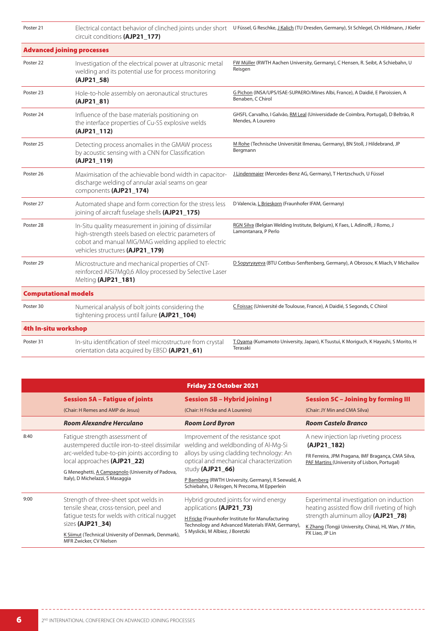| Poster 21                   | circuit conditions (AJP21 177)                                                                                                                                                                          | Electrical contact behavior of clinched joints under short U Füssel, G Reschke, <i>J Kalich</i> (TU Dresden, Germany), St Schlegel, Ch Hildmann, J Kiefer |
|-----------------------------|---------------------------------------------------------------------------------------------------------------------------------------------------------------------------------------------------------|-----------------------------------------------------------------------------------------------------------------------------------------------------------|
|                             | <b>Advanced joining processes</b>                                                                                                                                                                       |                                                                                                                                                           |
| Poster 22                   | Investigation of the electrical power at ultrasonic metal<br>welding and its potential use for process monitoring<br>(AJP21_58)                                                                         | FW Müller (RWTH Aachen University, Germany), C Hensen, R. Seibt, A Schiebahn, U<br>Reisgen                                                                |
| Poster 23                   | Hole-to-hole assembly on aeronautical structures<br>(AJP21_81)                                                                                                                                          | G Pichon (INSA/UPS/ISAE-SUPAERO/Mines Albi, France), A Daidié, E Paroissien, A<br>Benaben, C Chirol                                                       |
| Poster 24                   | Influence of the base materials positioning on<br>the interface properties of Cu-SS explosive welds<br>(AJP21_112)                                                                                      | GHSFL Carvalho, I Galvão, RM Leal (Universidade de Coimbra, Portugal), D Beltrão, R<br>Mendes, A Loureiro                                                 |
| Poster 25                   | Detecting process anomalies in the GMAW process<br>by acoustic sensing with a CNN for Classification<br>(AJP21_119)                                                                                     | M Rohe (Technische Universität Ilmenau, Germany), BN Stoll, J Hildebrand, JP<br>Bergmann                                                                  |
| Poster 26                   | Maximisation of the achievable bond width in capacitor-<br>discharge welding of annular axial seams on gear<br>components (AJP21_174)                                                                   | J Lindenmaier (Mercedes-Benz AG, Germany), T Hertzschuch, U Füssel                                                                                        |
| Poster 27                   | Automated shape and form correction for the stress less<br>joining of aircraft fuselage shells (AJP21_175)                                                                                              | D Valencia, L Brieskorn (Fraunhofer IFAM, Germany)                                                                                                        |
| Poster 28                   | In-Situ quality measurement in joining of dissimilar<br>high-strength steels based on electric parameters of<br>cobot and manual MIG/MAG welding applied to electric<br>vehicles structures (AJP21_179) | RGN Silva (Belgian Welding Institute, Belgium), K Faes, L Adinolfi, J Romo, J<br>Lamontanara, P Perlo                                                     |
| Poster 29                   | Microstructure and mechanical properties of CNT-<br>reinforced AISi7Mg0,6 Alloy processed by Selective Laser<br>Melting (AJP21_181)                                                                     | D Sopyryayeva (BTU Cottbus-Senftenberg, Germany), A Obrosov, K Miach, V Michailov                                                                         |
| <b>Computational models</b> |                                                                                                                                                                                                         |                                                                                                                                                           |
| Poster 30                   | Numerical analysis of bolt joints considering the<br>tightening process until failure (AJP21_104)                                                                                                       | C Foissac (Université de Toulouse, France), A Daidié, S Segonds, C Chirol                                                                                 |
| 4th In-situ workshop        |                                                                                                                                                                                                         |                                                                                                                                                           |
| Poster 31                   | In-situ identification of steel microstructure from crystal<br>orientation data acquired by EBSD (AJP21_61)                                                                                             | TOyama (Kumamoto University, Japan), K Tsustui, K Moriguch, K Hayashi, S Morito, H<br>Terasaki                                                            |

|      |                                                                                                                                                             | <b>Friday 22 October 2021</b>                                                                                                                                |                                                                                                    |
|------|-------------------------------------------------------------------------------------------------------------------------------------------------------------|--------------------------------------------------------------------------------------------------------------------------------------------------------------|----------------------------------------------------------------------------------------------------|
|      | <b>Session 5A - Fatigue of joints</b>                                                                                                                       | <b>Session 5B - Hybrid joining I</b>                                                                                                                         | <b>Session 5C - Joining by forming III</b>                                                         |
|      | (Chair: H Remes and AMP de Jesus)                                                                                                                           | (Chair: H Fricke and A Loureiro)                                                                                                                             | (Chair: JY Min and CMA Silva)                                                                      |
|      | Room Alexandre Herculano                                                                                                                                    | <b>Room Lord Byron</b>                                                                                                                                       | <b>Room Castelo Branco</b>                                                                         |
| 8:40 | Fatigue strength assessment of<br>austempered ductile iron-to-steel dissimilar<br>arc-welded tube-to-pin joints according to<br>local approaches (AJP21_22) | Improvement of the resistance spot<br>welding and weldbonding of Al-Mg-Si                                                                                    | A new injection lap riveting process<br>(AJP21 182)                                                |
|      |                                                                                                                                                             | alloys by using cladding technology: An<br>optical and mechanical characterization                                                                           | FR Ferreira, JPM Pragana, IMF Bragança, CMA Silva,<br>PAF Martins (University of Lisbon, Portugal) |
|      | G Meneghetti, A Campagnolo (University of Padova,<br>Italy), D Michelazzi, S Masaggia                                                                       | study $(AJP21_66)$                                                                                                                                           |                                                                                                    |
|      |                                                                                                                                                             | P Bamberg (RWTH University, Germany), R Seewald, A<br>Schiebahn, U Reisgen, N Precoma, M Epperlein                                                           |                                                                                                    |
| 9:00 | Strength of three-sheet spot welds in<br>tensile shear, cross-tension, peel and<br>fatigue tests for welds with critical nugget<br>sizes (AJP21 34)         | Hybrid grouted joints for wind energy<br>applications (AJP21_73)                                                                                             | Experimental investigation on induction<br>heating assisted flow drill riveting of high            |
|      |                                                                                                                                                             | H Fricke (Fraunhofer Institute for Manufacturing<br>Technology and Advanced Materials IFAM, Germany),<br>S Myslicki, M Albiez, J Boretzki<br>PX Liao, JP Lin | strength aluminum alloy (AJP21_78)                                                                 |
|      |                                                                                                                                                             |                                                                                                                                                              | K Zhang (Tongji University, China), HL Wan, JY Min,                                                |
|      | K Siimut (Technical University of Denmark, Denmark),<br>MFR Zwicker, CV Nielsen                                                                             |                                                                                                                                                              |                                                                                                    |

---------------------------------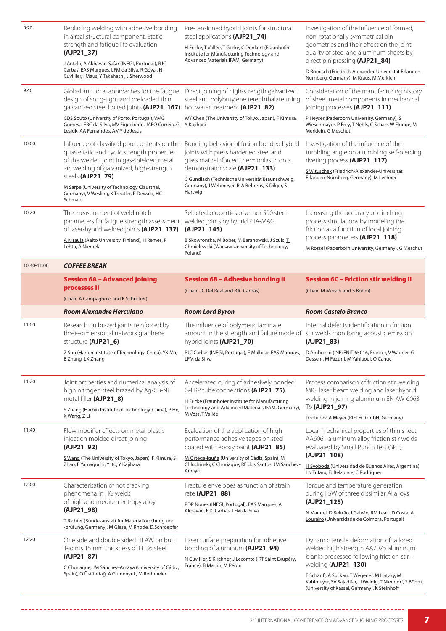| 9:20        | Replacing welding with adhesive bonding<br>in a real structural component: Static<br>strength and fatigue life evaluation<br>(AJP21_37)<br>J Antelo, A Akhavan-Safar (INEGI, Portugal), RJC<br>Carbas, EAS Marques, LFM.da Silva, R Goyal, N<br>Cuvillier, I Maus, Y Takahashi, J Sherwood | Pre-tensioned hybrid joints for structural<br>steel applications (AJP21_74)<br>H Fricke, T Vallée, T Gerke, C Denkert (Fraunhofer<br>Institute for Manufacturing Technology and<br>Advanced Materials IFAM, Germany)                                                | Investigation of the influence of formed,<br>non-rotationally symmetrical pin<br>geometries and their effect on the joint<br>quality of steel and aluminum sheets by<br>direct pin pressing (AJP21_84)<br>D Römisch (Friedrich-Alexander-Universität Erlangen- |
|-------------|--------------------------------------------------------------------------------------------------------------------------------------------------------------------------------------------------------------------------------------------------------------------------------------------|---------------------------------------------------------------------------------------------------------------------------------------------------------------------------------------------------------------------------------------------------------------------|----------------------------------------------------------------------------------------------------------------------------------------------------------------------------------------------------------------------------------------------------------------|
| 9:40        | Global and local approaches for the fatigue<br>design of snug-tight and preloaded thin<br>galvanized steel bolted joints (AJP21_167) hot water treatment (AJP21_82)                                                                                                                        | Direct joining of high-strength galvanized<br>steel and polybutylene terephthalate using                                                                                                                                                                            | Nürnberg, Germany), M Kraus, M Merklein<br>Consideration of the manufacturing history<br>of sheet metal components in mechanical<br>joining processes (AJP21_111)                                                                                              |
|             | CDS Souto (University of Porto, Portugal), VMG<br>Gomes, LFRC da Silva, MV Figueiredo, JAFO Correia, G<br>Lesiuk, AA Fernandes, AMP de Jesus                                                                                                                                               | WY Chen (The University of Tokyo, Japan), F Kimura,<br>Y Kajihara                                                                                                                                                                                                   | P Heyser (Paderborn University, Germany), S<br>Wiesenmayer, P Frey, T Nehls, C Scharr, W Flügge, M<br>Merklein, G Meschut                                                                                                                                      |
| 10:00       | Influence of classified pore contents on the<br>quasi-static and cyclic strength properties<br>of the welded joint in gas-shielded metal<br>arc welding of galvanized, high-strength<br>steels (AJP21_79)<br>M Sarpe (University of Technology Clausthal,                                  | Bonding behavior of fusion bonded hybrid<br>joints with press hardened steel and<br>glass mat reinforced thermoplastic on a<br>demonstrator scale (AJP21_133)<br>C Gundlach (Technische Universität Braunschweig,<br>Germany), J Wehmeyer, B-A Behrens, K Dilger, S | Investigation of the influence of the<br>tumbling angle on a tumbling self-piercing<br>riveting process (AJP21_117)<br>S Wituschek (Friedrich-Alexander-Universität<br>Erlangen-Nürnberg, Germany), M Lechner                                                  |
|             | Germany), V Wesling, K Treutler, P Dewald, HC<br>Schmale                                                                                                                                                                                                                                   | Hartwig                                                                                                                                                                                                                                                             |                                                                                                                                                                                                                                                                |
| 10:20       | The measurement of weld notch<br>parameters for fatigue strength assessment<br>of laser-hybrid welded joints (AJP21_137)                                                                                                                                                                   | Selected properties of armor 500 steel<br>welded joints by hybrid PTA-MAG<br>(AJP21_145)                                                                                                                                                                            | Increasing the accuracy of clinching<br>process simulations by modeling the<br>friction as a function of local joining<br>process parameters (AJP21_118)                                                                                                       |
|             | A Niraula (Aalto University, Finland), H Remes, P<br>Lehto, A Niemelä                                                                                                                                                                                                                      | B Skowronska, M Bober, M Baranowski, J Szulc, I<br>Chmielewski (Warsaw University of Technology,<br>Poland)                                                                                                                                                         | M Rossel (Paderborn University, Germany), G Meschut                                                                                                                                                                                                            |
| 10:40-11:00 | <b>COFFEE BREAK</b>                                                                                                                                                                                                                                                                        |                                                                                                                                                                                                                                                                     |                                                                                                                                                                                                                                                                |
|             | <b>Session 6A - Advanced joining</b><br>processes II<br>(Chair: A Campagnolo and K Schricker)                                                                                                                                                                                              | <b>Session 6B - Adhesive bonding II</b><br>(Chair: JC Del Real and RJC Carbas)                                                                                                                                                                                      | <b>Session 6C - Friction stir welding II</b><br>(Chair: M Moradi and S Böhm)                                                                                                                                                                                   |
|             |                                                                                                                                                                                                                                                                                            |                                                                                                                                                                                                                                                                     |                                                                                                                                                                                                                                                                |
|             | <b>Room Alexandre Herculano</b>                                                                                                                                                                                                                                                            | <b>Room Lord Byron</b>                                                                                                                                                                                                                                              | <b>Room Castelo Branco</b>                                                                                                                                                                                                                                     |
| 11:00       | Research on brazed joints reinforced by<br>three-dimensional network graphene<br>structure (AJP21_6)                                                                                                                                                                                       | The influence of polymeric laminate<br>amount in the strength and failure mode of stir welds monitoring acoustic emission<br>hybrid joints (AJP21_70)                                                                                                               | Internal defects identification in friction<br>$(AJP21_83)$                                                                                                                                                                                                    |
|             | Z Sun (Harbin Institute of Technology, China), YK Ma,<br>B Zhang, LX Zhang                                                                                                                                                                                                                 | RJC Carbas (INEGI, Portugal), F Malbijar, EAS Marques, D Ambrosio (INP/ENIT 65016, France), V Wagner, G<br>LFM da Silva                                                                                                                                             | Dessein, M Fazzini, M Yahiaoui, O Cahuc                                                                                                                                                                                                                        |
| 11:20       | Joint properties and numerical analysis of<br>high nitrogen steel brazed by Ag-Cu-Ni                                                                                                                                                                                                       | Accelerated curing of adhesively bonded<br>G-FRP tube connections (AJP21_75)                                                                                                                                                                                        | Process comparison of friction stir welding,<br>MIG, laser beam welding and laser hybrid                                                                                                                                                                       |
|             | metal filler (AJP21_8)<br>S Zhang (Harbin Institute of Technology, China), P He,<br>X Wang, Z Li                                                                                                                                                                                           | H Fricke (Fraunhofer Institute for Manufacturing<br>Technology and Advanced Materials IFAM, Germany),<br>M Voss, T Vallée                                                                                                                                           | welding in joining aluminium EN AW-6063<br>T6 (AJP21_97)<br>I Golubev, A Meyer (RIFTEC GmbH, Germany)                                                                                                                                                          |
| 11:40       | Flow modifier effects on metal-plastic<br>injection molded direct joining<br>$(AJP21_92)$                                                                                                                                                                                                  | Evaluation of the application of high<br>performance adhesive tapes on steel<br>coated with epoxy paint (AJP21_85)                                                                                                                                                  | Local mechanical properties of thin sheet<br>AA6061 aluminum alloy friction stir welds<br>evaluated by Small Punch Test (SPT)                                                                                                                                  |
|             | S Wang (The University of Tokyo, Japan), F Kimura, S<br>Zhao, E Yamaguchi, Y Ito, Y Kajihara                                                                                                                                                                                               | M Ortega-Iguña (University of Cádiz, Spain), M<br>Chludzinski, C Churiaque, RE dos Santos, JM Sanchez-<br>Amaya                                                                                                                                                     | $(AJP21_108)$<br>H Svoboda (Universidad de Buenos Aires, Argentina),<br>LN Tufaro, FJ Belzunce, C Rodríguez                                                                                                                                                    |
| 12:00       | Characterisation of hot cracking<br>phenomena in TIG welds<br>of high and medium entropy alloy<br>$(AJP21_98)$                                                                                                                                                                             | Fracture envelopes as function of strain<br>rate (AJP21_88)<br>PDP Nunes (INEGI, Portugal), EAS Marques, A<br>Akhavan, RJC Carbas, LFM da Silva                                                                                                                     | Torque and temperature generation<br>during FSW of three dissimilar Al alloys<br>$(AJP21_125)$                                                                                                                                                                 |
|             | T Richter (Bundesanstalt für Materialforschung und<br>-prüfung, Germany), M Giese, M Rhode, D.Schroepfer                                                                                                                                                                                   |                                                                                                                                                                                                                                                                     | N Manuel, D Beltrão, I Galvão, RM Leal, JD Costa, A<br>Loureiro (Universidade de Coimbra, Portugal)                                                                                                                                                            |
| 12:20       | One side and double sided HLAW on butt<br>T-joints 15 mm thickness of EH36 steel<br>$(AJP21_87)$<br>C Churiaque, JM Sánchez-Amaya (University of Cádiz,                                                                                                                                    | Laser surface preparation for adhesive<br>bonding of aluminum (AJP21_94)<br>N Cuvillier, S Kirchner, J Lecomte (IRT Saint Exupéry,<br>France), B Martin, M Péron                                                                                                    | Dynamic tensile deformation of tailored<br>welded high strength AA7075 aluminum<br>blanks processed following friction-stir-<br>welding (AJP21_130)                                                                                                            |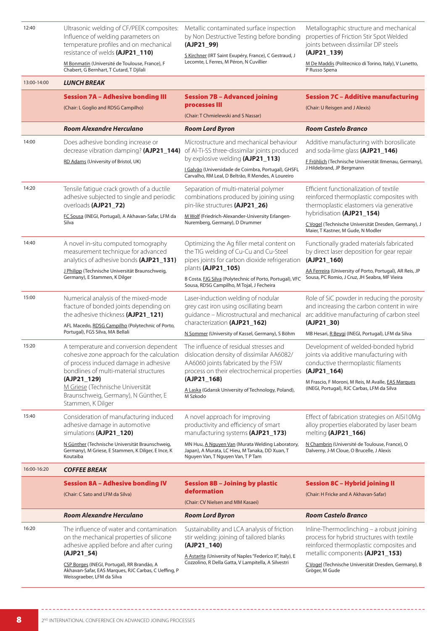Influence of welding parameters on temperature profiles and on mechanical resistance of welds **(AJP21\_110)**

M Bonmatin (Université de Toulouse, France), F Chabert, G Bernhart, T Cutard, T Djilali

12:40 Ultrasonic welding of CF/PEEK composites: Metallic contaminated surface inspection by Non Destructive Testing before bonding properties of Friction Stir Spot Welded **(AJP21\_99)**

> S Kirchner (IRT Saint Exupéry, France), C Gestraud, J Lecomte, L Ferres, M Péron, N Cuvillier

Metallographic structure and mechanical joints between dissimilar DP steels

## **(AJP21\_139)**

M De Maddis (Politecnico di Torino, Italy), V Lunetto, P Russo Spena

| 13:00-14:00 | <b>LUNCH BREAK</b>                                                                                                                                                                                                                                                                      |                                                                                                                                                                                                                                                                    |                                                                                                                                                                                                                                                          |
|-------------|-----------------------------------------------------------------------------------------------------------------------------------------------------------------------------------------------------------------------------------------------------------------------------------------|--------------------------------------------------------------------------------------------------------------------------------------------------------------------------------------------------------------------------------------------------------------------|----------------------------------------------------------------------------------------------------------------------------------------------------------------------------------------------------------------------------------------------------------|
|             | <b>Session 7A - Adhesive bonding III</b><br>(Chair: L Goglio and RDSG Campilho)                                                                                                                                                                                                         | <b>Session 7B - Advanced joining</b><br>processes III<br>(Chair: T Chmielewski and S Nassar)                                                                                                                                                                       | <b>Session 7C - Additive manufacturing</b><br>(Chair: U Reisgen and J Alexis)                                                                                                                                                                            |
|             | <b>Room Alexandre Herculano</b>                                                                                                                                                                                                                                                         | <b>Room Lord Byron</b>                                                                                                                                                                                                                                             | <b>Room Castelo Branco</b>                                                                                                                                                                                                                               |
| 14:00       | Does adhesive bonding increase or<br>decrease vibration damping? (AJP21_144)<br>RD Adams (University of Bristol, UK)                                                                                                                                                                    | Microstructure and mechanical behaviour<br>of Al-Ti-SS three-dissimilar joints produced<br>by explosive welding (AJP21_113)<br>I Galvão (Universidade de Coimbra, Portugal), GHSFL<br>Carvalho, RM Leal, D Beltrão, R Mendes, A Loureiro                           | Additive manufacturing with borosilicate<br>and soda-lime glass (AJP21_146)<br>F Fröhlich (Technische Universität Ilmenau, Germany),<br>J Hildebrand, JP Bergmann                                                                                        |
| 14:20       | Tensile fatigue crack growth of a ductile<br>adhesive subjected to single and periodic<br>overloads (AJP21_72)<br>FC Sousa (INEGI, Portugal), A Akhavan-Safar, LFM da<br>Silva                                                                                                          | Separation of multi-material polymer<br>combinations produced by joining using<br>pin-like structures (AJP21_26)<br>M Wolf (Friedrich-Alexander-University Erlangen-<br>Nuremberg, Germany), D Drummer                                                             | Efficient functionalization of textile<br>reinforced thermoplastic composites with<br>thermoplastic elastomers via generative<br>hybridisation (AJP21_154)<br>C Vogel (Technische Universität Dresden, Germany), J                                       |
| 14:40       | A novel in-situ computed tomography<br>measurement technique for advanced<br>analytics of adhesive bonds (AJP21_131)<br>J Philipp (Technische Universität Braunschweig,<br>Germany), E Stammen, K Dilger                                                                                | Optimizing the Ag filler metal content on<br>the TIG welding of Cu-Cu and Cu-Steel<br>pipes joints for carbon dioxide refrigeration<br>plants (AJP21_105)<br>B Costa, FJG Silva (Polytechnic of Porto, Portugal), VFC<br>Sousa, RDSG Campilho, M Tojal, J Fecheira | Maier, T Kastner, M Gude, N Modler<br>Functionally graded materials fabricated<br>by direct laser deposition for gear repair<br>(AJP21_160)<br>AA Ferreira (University of Porto, Portugal), AR Reis, JP<br>Sousa, PC Romio, J Cruz, JH Seabra, MF Vieira |
| 15:00       | Numerical analysis of the mixed-mode<br>fracture of bonded joints depending on<br>the adhesive thickness (AJP21_121)<br>AFL Macedo, RDSG Campilho (Polytechnic of Porto,<br>Portugal), FGS Silva, MA Bellali                                                                            | Laser-induction welding of nodular<br>grey cast iron using oscillating beam<br>quidance - Microstructural and mechanical<br>characterization (AJP21_162)<br>N Sommer (University of Kassel, Germany), S Böhm                                                       | Role of SiC powder in reducing the porosity<br>and increasing the carbon content in wire<br>arc additive manufacturing of carbon steel<br>$(AJP21_30)$<br>MB Hesari, R Beygi (INEGI, Portugal), LFM da Silva                                             |
| 15:20       | A temperature and conversion dependent<br>cohesive zone approach for the calculation<br>of process induced damage in adhesive<br>bondlines of multi-material structures<br>(AJP21_129)<br>M Griese (Technische Universität<br>Braunschweig, Germany), N Günther, E<br>Stammen, K Dilger | The influence of residual stresses and<br>dislocation density of dissimilar AA6082/<br>AA6060 joints fabricated by the FSW<br>process on their electrochemical properties<br>(AJP21_168)<br>A Laska (Gdansk University of Technology, Poland),<br>M Szkodo         | Development of welded-bonded hybrid<br>joints via additive manufacturing with<br>conductive thermoplastic filaments<br>(AJP21_164)<br>M Frascio, F Moroni, M Reis, M Avalle, EAS Marques<br>(INEGI, Portugal), RJC Carbas, LFM da Silva                  |
| 15:40       | Consideration of manufacturing induced A novel approach for improving<br>adhesive damage in automotive<br>simulations (AJP21_120)<br>N Günther (Technische Universität Braunschweig,<br>Germany), M Griese, E Stammen, K Dilger, E Ince, K<br>Koutaiba                                  | productivity and efficiency of smart<br>manufacturing systems (AJP21_173)<br>MN Huu, A Nguyen Van (Murata Welding Laboratory,<br>Japan), A Murata, LC Hieu, M Tanaka, DD Xuan, T<br>Nguyen Van, T Nguyen Van, T P Tam                                              | Effect of fabrication strategies on AlSi10Mg<br>alloy properties elaborated by laser beam<br>melting (AJP21_166)<br>N Chambrin (Université de Toulouse, France), O<br>Dalverny, J-M Cloue, O Brucelle, J Alexis                                          |
| 16:00-16:20 | <b>COFFEE BREAK</b>                                                                                                                                                                                                                                                                     |                                                                                                                                                                                                                                                                    |                                                                                                                                                                                                                                                          |
|             | <b>Session 8A - Adhesive bonding IV</b><br>(Chair: C Sato and LFM da Silva)                                                                                                                                                                                                             | <b>Session 8B - Joining by plastic</b><br>deformation<br>(Chair: CV Nielsen and MM Kasaei)                                                                                                                                                                         | <b>Session 8C - Hybrid joining II</b><br>(Chair: H Fricke and A Akhavan-Safar)                                                                                                                                                                           |
|             | <b>Room Alexandre Herculano</b>                                                                                                                                                                                                                                                         | <b>Room Lord Byron</b>                                                                                                                                                                                                                                             | <b>Room Castelo Branco</b>                                                                                                                                                                                                                               |
| 16:20       | The influence of water and contamination<br>on the mechanical properties of silicone<br>adhesive applied before and after curing<br>$(AJP21_54)$<br>CSP Borges (INEGI, Portugal), RR Brandão, A<br>Akhavan-Safar, EAS Marques, RJC Carbas, C Ueffing, P<br>Weissgraeber, LFM da Silva   | Sustainability and LCA analysis of friction<br>stir welding: joining of tailored blanks<br>$(AJP21_140)$<br>A Astarita (University of Naples "Federico II", Italy), E<br>Cozzolino, R Della Gatta, V Lampitella, A Silvestri                                       | Inline-Thermoclinching – a robust joining<br>process for hybrid structures with textile<br>reinforced thermoplastic composites and<br>metallic components (AJP21_153)<br>C Vogel (Technische Universität Dresden, Germany), B<br>Gröger, M Gude          |